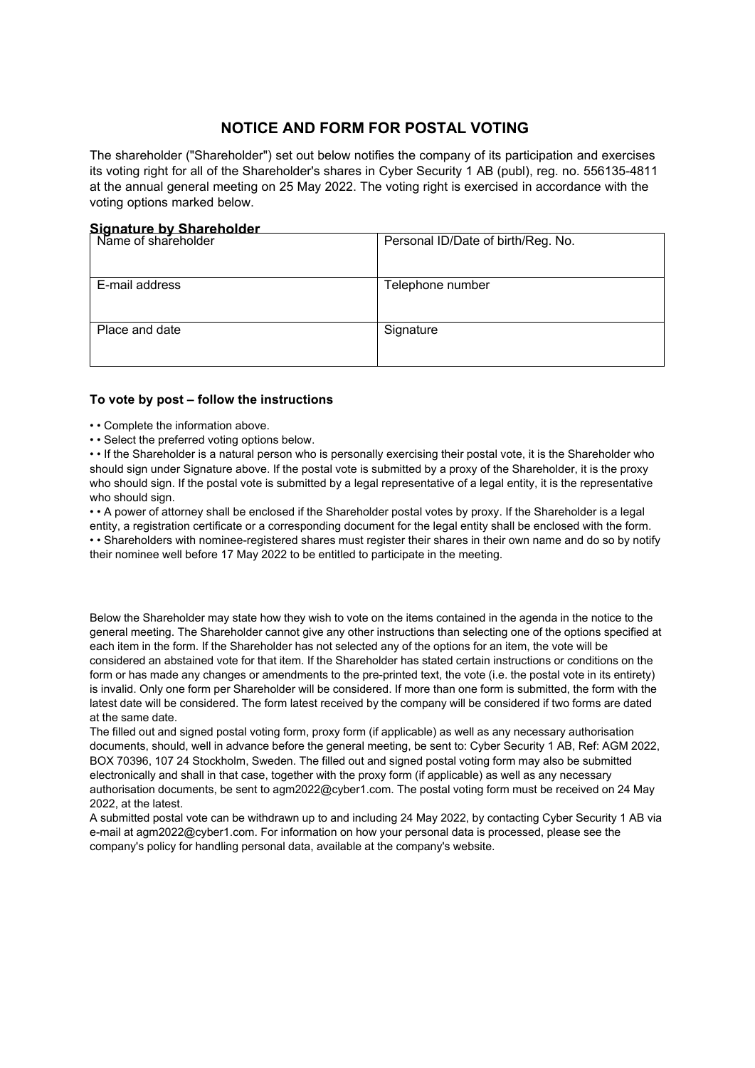## **NOTICE AND FORM FOR POSTAL VOTING**

The shareholder ("Shareholder") set out below notifies the company of its participation and exercises its voting right for all of the Shareholder's shares in Cyber Security 1 AB (publ), reg. no. 556135-4811 at the annual general meeting on 25 May 2022. The voting right is exercised in accordance with the voting options marked below.

## **Signature by Shareholder**

| Name of shareholder | Personal ID/Date of birth/Reg. No. |
|---------------------|------------------------------------|
| E-mail address      | Telephone number                   |
| Place and date      | Signature                          |

## **To vote by post – follow the instructions**

- • Complete the information above.
- • Select the preferred voting options below.

• • If the Shareholder is a natural person who is personally exercising their postal vote, it is the Shareholder who should sign under Signature above. If the postal vote is submitted by a proxy of the Shareholder, it is the proxy who should sign. If the postal vote is submitted by a legal representative of a legal entity, it is the representative who should sign.

• • A power of attorney shall be enclosed if the Shareholder postal votes by proxy. If the Shareholder is a legal entity, a registration certificate or a corresponding document for the legal entity shall be enclosed with the form. • • Shareholders with nominee-registered shares must register their shares in their own name and do so by notify their nominee well before 17 May 2022 to be entitled to participate in the meeting.

Below the Shareholder may state how they wish to vote on the items contained in the agenda in the notice to the general meeting. The Shareholder cannot give any other instructions than selecting one of the options specified at each item in the form. If the Shareholder has not selected any of the options for an item, the vote will be considered an abstained vote for that item. If the Shareholder has stated certain instructions or conditions on the form or has made any changes or amendments to the pre-printed text, the vote (i.e. the postal vote in its entirety) is invalid. Only one form per Shareholder will be considered. If more than one form is submitted, the form with the latest date will be considered. The form latest received by the company will be considered if two forms are dated at the same date.

The filled out and signed postal voting form, proxy form (if applicable) as well as any necessary authorisation documents, should, well in advance before the general meeting, be sent to: Cyber Security 1 AB, Ref: AGM 2022, BOX 70396, 107 24 Stockholm, Sweden. The filled out and signed postal voting form may also be submitted electronically and shall in that case, together with the proxy form (if applicable) as well as any necessary authorisation documents, be sent to agm2022@cyber1.com. The postal voting form must be received on 24 May 2022, at the latest.

A submitted postal vote can be withdrawn up to and including 24 May 2022, by contacting Cyber Security 1 AB via e-mail at agm2022@cyber1.com. For information on how your personal data is processed, please see the company's policy for handling personal data, available at the company's website.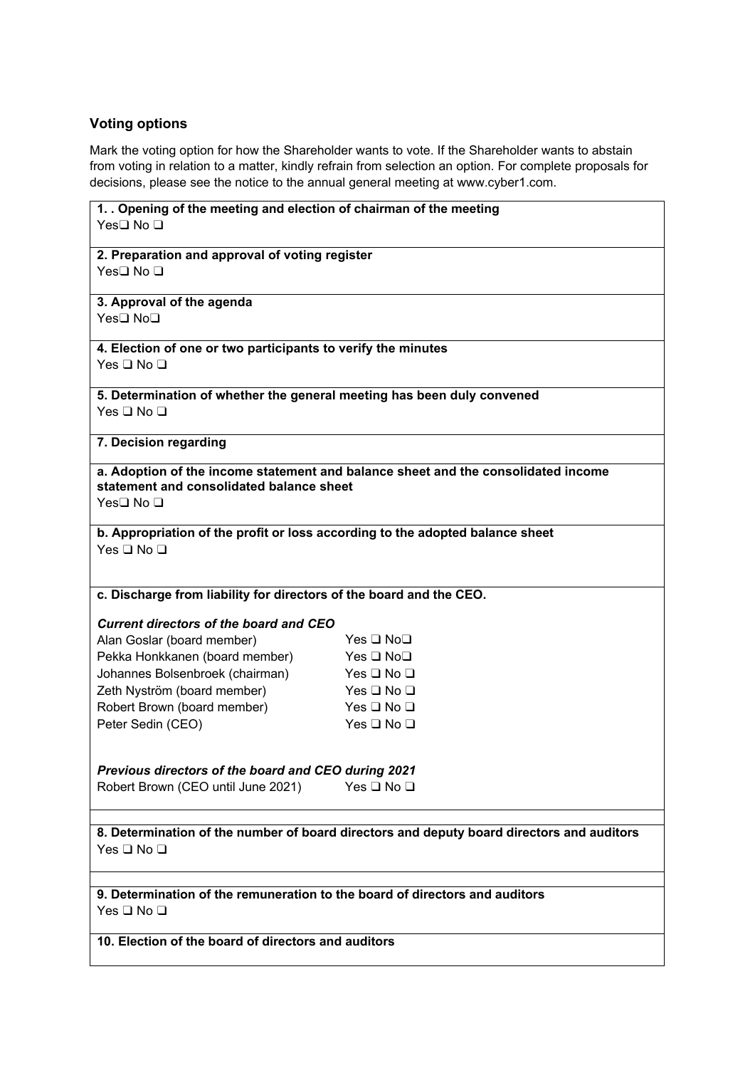## **Voting options**

Mark the voting option for how the Shareholder wants to vote. If the Shareholder wants to abstain from voting in relation to a matter, kindly refrain from selection an option. For complete proposals for decisions, p[lease see the no](http://www.cyber1.se/)tice to the annual general meeting at www.cyber1.com.

| 1. . Opening of the meeting and election of chairman of the meeting<br>Yes□ No □                                                           |                      |  |
|--------------------------------------------------------------------------------------------------------------------------------------------|----------------------|--|
|                                                                                                                                            |                      |  |
| 2. Preparation and approval of voting register                                                                                             |                      |  |
| Yes□ No □                                                                                                                                  |                      |  |
| 3. Approval of the agenda                                                                                                                  |                      |  |
| Yes <b>□</b> No <b>□</b>                                                                                                                   |                      |  |
| 4. Election of one or two participants to verify the minutes                                                                               |                      |  |
| Yes $\Box$ No $\Box$                                                                                                                       |                      |  |
| 5. Determination of whether the general meeting has been duly convened                                                                     |                      |  |
| Yes $\square$ No $\square$                                                                                                                 |                      |  |
| 7. Decision regarding                                                                                                                      |                      |  |
| a. Adoption of the income statement and balance sheet and the consolidated income<br>statement and consolidated balance sheet<br>Yes□ No □ |                      |  |
| b. Appropriation of the profit or loss according to the adopted balance sheet                                                              |                      |  |
| Yes □ No □                                                                                                                                 |                      |  |
|                                                                                                                                            |                      |  |
| c. Discharge from liability for directors of the board and the CEO.                                                                        |                      |  |
| <b>Current directors of the board and CEO</b>                                                                                              |                      |  |
| Alan Goslar (board member)                                                                                                                 | Yes □ No□            |  |
| Pekka Honkkanen (board member)                                                                                                             | Yes □ No□            |  |
| Johannes Bolsenbroek (chairman)                                                                                                            | Yes $\Box$ No $\Box$ |  |
| Zeth Nyström (board member)                                                                                                                | Yes $\Box$ No $\Box$ |  |
| Robert Brown (board member)                                                                                                                | Yes $\Box$ No $\Box$ |  |
| Peter Sedin (CEO)                                                                                                                          | Yes $\Box$ No $\Box$ |  |
|                                                                                                                                            |                      |  |
| Previous directors of the board and CEO during 2021                                                                                        |                      |  |
| Robert Brown (CEO until June 2021)                                                                                                         | Yes $\Box$ No $\Box$ |  |
|                                                                                                                                            |                      |  |
| 8. Determination of the number of board directors and deputy board directors and auditors<br>Yes □ No □                                    |                      |  |
|                                                                                                                                            |                      |  |
| 9. Determination of the remuneration to the board of directors and auditors<br>Yes □ No □                                                  |                      |  |
| 10. Election of the board of directors and auditors                                                                                        |                      |  |
|                                                                                                                                            |                      |  |